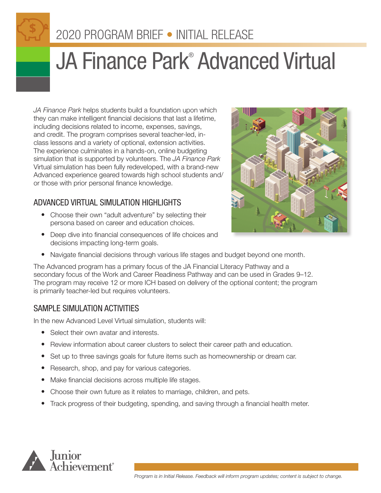# 2020 PROGRAM BRIEF • INITIAL RELEASE

# JA Finance Park<sup>®</sup> Advanced Virtual

*JA Finance Park* helps students build a foundation upon which they can make intelligent financial decisions that last a lifetime, including decisions related to income, expenses, savings, and credit. The program comprises several teacher-led, inclass lessons and a variety of optional, extension activities. The experience culminates in a hands-on, online budgeting simulation that is supported by volunteers. The *JA Finance Park* Virtual simulation has been fully redeveloped, with a brand-new Advanced experience geared towards high school students and/ or those with prior personal finance knowledge.

## ADVANCED VIRTUAL SIMULATION HIGHLIGHTS

- Choose their own "adult adventure" by selecting their persona based on career and education choices.
- Deep dive into financial consequences of life choices and decisions impacting long-term goals.



• Navigate financial decisions through various life stages and budget beyond one month.

The Advanced program has a primary focus of the JA Financial Literacy Pathway and a secondary focus of the Work and Career Readiness Pathway and can be used in Grades 9–12. The program may receive 12 or more ICH based on delivery of the optional content; the program is primarily teacher-led but requires volunteers.

### SAMPLE SIMULATION ACTIVITIES

In the new Advanced Level Virtual simulation, students will:

- Select their own avatar and interests.
- Review information about career clusters to select their career path and education.
- Set up to three savings goals for future items such as homeownership or dream car.
- Research, shop, and pay for various categories.
- Make financial decisions across multiple life stages.
- Choose their own future as it relates to marriage, children, and pets.
- Track progress of their budgeting, spending, and saving through a financial health meter.